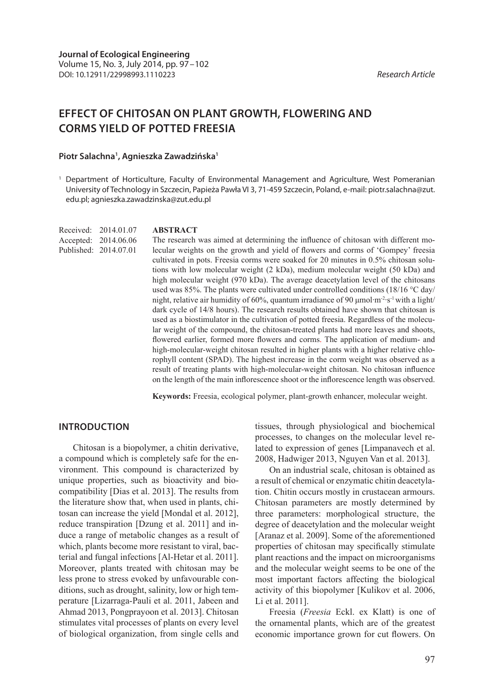# **EFFECT OF CHITOSAN ON PLANT GROWTH, FLOWERING AND CORMS YIELD OF POTTED FREESIA**

#### **Piotr Salachna1 , Agnieszka Zawadzińska1**

<sup>1</sup> Department of Horticulture, Faculty of Environmental Management and Agriculture, West Pomeranian University of Technology in Szczecin, Papieża Pawła VI 3, 71-459 Szczecin, Poland, e-mail: piotr.salachna@zut. edu.pl; agnieszka.zawadzinska@zut.edu.pl

Received: 2014.01.07 Accepted: 2014.06.06 Published: 2014.07.01

#### **ABSTRACT**

The research was aimed at determining the influence of chitosan with different molecular weights on the growth and yield of flowers and corms of 'Gompey' freesia cultivated in pots. Freesia corms were soaked for 20 minutes in 0.5% chitosan solutions with low molecular weight (2 kDa), medium molecular weight (50 kDa) and high molecular weight (970 kDa). The average deacetylation level of the chitosans used was 85%. The plants were cultivated under controlled conditions (18/16 °C day/ night, relative air humidity of 60%, quantum irradiance of 90 μmol∙m-2∙s-1 with a light/ dark cycle of 14/8 hours). The research results obtained have shown that chitosan is used as a biostimulator in the cultivation of potted freesia. Regardless of the molecular weight of the compound, the chitosan-treated plants had more leaves and shoots, flowered earlier, formed more flowers and corms. The application of medium- and high-molecular-weight chitosan resulted in higher plants with a higher relative chlorophyll content (SPAD). The highest increase in the corm weight was observed as a result of treating plants with high-molecular-weight chitosan. No chitosan influence on the length of the main inflorescence shoot or the inflorescence length was observed.

**Keywords:** Freesia, ecological polymer, plant-growth enhancer, molecular weight.

### **INTRODUCTION**

Chitosan is a biopolymer, a chitin derivative, a compound which is completely safe for the environment. This compound is characterized by unique properties, such as bioactivity and biocompatibility [Dias et al. 2013]. The results from the literature show that, when used in plants, chitosan can increase the yield [Mondal et al. 2012], reduce transpiration [Dzung et al. 2011] and induce a range of metabolic changes as a result of which, plants become more resistant to viral, bacterial and fungal infections [Al-Hetar et al. 2011]. Moreover, plants treated with chitosan may be less prone to stress evoked by unfavourable conditions, such as drought, salinity, low or high temperature [Lizarraga-Pauli et al. 2011, Jabeen and Ahmad 2013, Pongprayoon et al. 2013]. Chitosan stimulates vital processes of plants on every level of biological organization, from single cells and tissues, through physiological and biochemical processes, to changes on the molecular level related to expression of genes [Limpanavech et al. 2008, Hadwiger 2013, Nguyen Van et al. 2013].

On an industrial scale, chitosan is obtained as a result of chemical or enzymatic chitin deacetylation. Chitin occurs mostly in crustacean armours. Chitosan parameters are mostly determined by three parameters: morphological structure, the degree of deacetylation and the molecular weight [Aranaz et al. 2009]. Some of the aforementioned properties of chitosan may specifically stimulate plant reactions and the impact on microorganisms and the molecular weight seems to be one of the most important factors affecting the biological activity of this biopolymer [Kulikov et al. 2006, Li et al. 2011].

Freesia (*Freesia* Eckl. ex Klatt) is one of the ornamental plants, which are of the greatest economic importance grown for cut flowers. On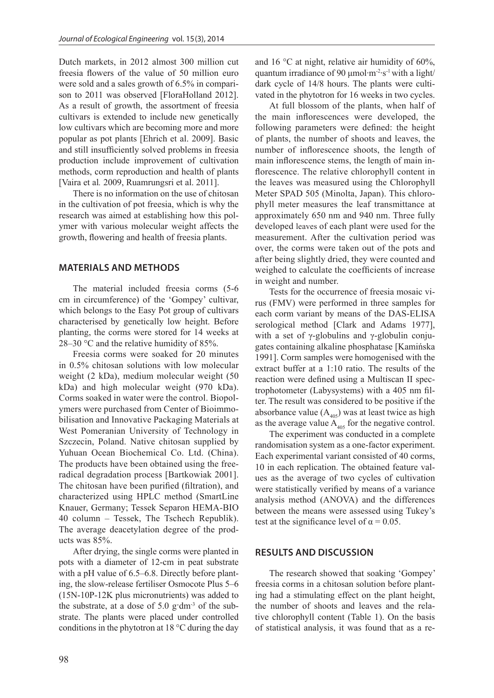Dutch markets, in 2012 almost 300 million cut freesia flowers of the value of 50 million euro were sold and a sales growth of 6.5% in comparison to 2011 was observed [FloraHolland 2012]. As a result of growth, the assortment of freesia cultivars is extended to include new genetically low cultivars which are becoming more and more popular as pot plants [Ehrich et al. 2009]. Basic and still insufficiently solved problems in freesia production include improvement of cultivation methods, corm reproduction and health of plants [Vaira et al*.* 2009, Ruamrungsri et al. 2011].

There is no information on the use of chitosan in the cultivation of pot freesia, which is why the research was aimed at establishing how this polymer with various molecular weight affects the growth, flowering and health of freesia plants.

### **MATERIALS AND METHODS**

The material included freesia corms (5-6 cm in circumference) of the 'Gompey' cultivar, which belongs to the Easy Pot group of cultivars characterised by genetically low height. Before planting, the corms were stored for 14 weeks at 28–30 °C and the relative humidity of 85%.

Freesia corms were soaked for 20 minutes in 0.5% chitosan solutions with low molecular weight (2 kDa), medium molecular weight (50 kDa) and high molecular weight (970 kDa). Corms soaked in water were the control. Biopolymers were purchased from Center of Bioimmobilisation and Innovative Packaging Materials at West Pomeranian University of Technology in Szczecin, Poland. Native chitosan supplied by Yuhuan Ocean Biochemical Co. Ltd. (China). The products have been obtained using the freeradical degradation process [Bartkowiak 2001]. The chitosan have been purified (filtration), and characterized using HPLC method (SmartLine Knauer, Germany; Tessek Separon HEMA-BIO 40 column – Tessek, The Tschech Republik). The average deacetylation degree of the products was 85%.

After drying, the single corms were planted in pots with a diameter of 12-cm in peat substrate with a pH value of 6.5–6.8. Directly before planting, the slow-release fertiliser Osmocote Plus 5–6 (15N-10P-12K plus micronutrients) was added to the substrate, at a dose of  $5.0$  g·dm<sup>-3</sup> of the substrate. The plants were placed under controlled conditions in the phytotron at  $18^{\circ}$ C during the day and 16 °C at night, relative air humidity of 60%, quantum irradiance of 90  $\mu$ mol⋅m<sup>-2</sup>⋅s<sup>-1</sup> with a light/ dark cycle of 14/8 hours. The plants were cultivated in the phytotron for 16 weeks in two cycles.

At full blossom of the plants, when half of the main inflorescences were developed, the following parameters were defined: the height of plants, the number of shoots and leaves, the number of inflorescence shoots, the length of main inflorescence stems, the length of main inflorescence. The relative chlorophyll content in the leaves was measured using the Chlorophyll Meter SPAD 505 (Minolta, Japan). This chlorophyll meter measures the leaf transmittance at approximately 650 nm and 940 nm. Three fully developed leaves of each plant were used for the measurement. After the cultivation period was over, the corms were taken out of the pots and after being slightly dried, they were counted and weighed to calculate the coefficients of increase in weight and number.

Tests for the occurrence of freesia mosaic virus (FMV) were performed in three samples for each corm variant by means of the DAS-ELISA serological method [Clark and Adams 1977], with a set of  $\gamma$ -globulins and  $\gamma$ -globulin conjugates containing alkaline phosphatase [Kamińska 1991]. Corm samples were homogenised with the extract buffer at a 1:10 ratio. The results of the reaction were defined using a Multiscan II spectrophotometer (Labysystems) with a 405 nm filter. The result was considered to be positive if the absorbance value  $(A_{405})$  was at least twice as high as the average value  $\mathbf{A}_{405}$  for the negative control.

The experiment was conducted in a complete randomisation system as a one-factor experiment. Each experimental variant consisted of 40 corms, 10 in each replication. The obtained feature values as the average of two cycles of cultivation were statistically verified by means of a variance analysis method (ANOVA) and the differences between the means were assessed using Tukey's test at the significance level of  $\alpha = 0.05$ .

### **RESULTS AND DISCUSSION**

The research showed that soaking 'Gompey' freesia corms in a chitosan solution before planting had a stimulating effect on the plant height, the number of shoots and leaves and the relative chlorophyll content (Table 1). On the basis of statistical analysis, it was found that as a re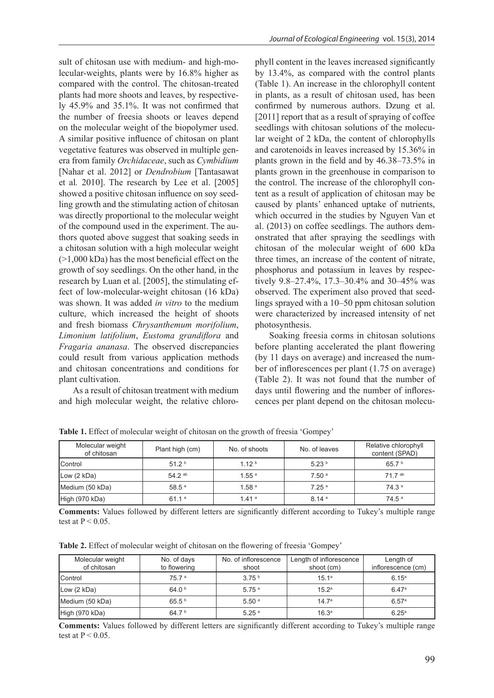sult of chitosan use with medium- and high-molecular-weights, plants were by 16.8% higher as compared with the control. The chitosan-treated plants had more shoots and leaves, by respectively 45.9% and 35.1%. It was not confirmed that the number of freesia shoots or leaves depend on the molecular weight of the biopolymer used. A similar positive influence of chitosan on plant vegetative features was observed in multiple genera from family *Orchidaceae*, such as *Cymbidium* [Nahar et al. 2012] or *Dendrobium* [Tantasawat et al*.* 2010]. The research by Lee et al. [2005] showed a positive chitosan influence on soy seedling growth and the stimulating action of chitosan was directly proportional to the molecular weight of the compound used in the experiment. The authors quoted above suggest that soaking seeds in a chitosan solution with a high molecular weight (>1,000 kDa) has the most beneficial effect on the growth of soy seedlings. On the other hand, in the research by Luan et al. [2005], the stimulating effect of low-molecular-weight chitosan (16 kDa) was shown. It was added *in vitro* to the medium culture, which increased the height of shoots and fresh biomass *Chrysanthemum morifolium*, *Limonium latifolium*, *Eustoma grandiflora* and *Fragaria ananasa*. The observed discrepancies could result from various application methods and chitosan concentrations and conditions for plant cultivation.

As a result of chitosan treatment with medium and high molecular weight, the relative chlorophyll content in the leaves increased significantly by 13.4%, as compared with the control plants (Table 1). An increase in the chlorophyll content in plants, as a result of chitosan used, has been confirmed by numerous authors. Dzung et al. [2011] report that as a result of spraying of coffee seedlings with chitosan solutions of the molecular weight of 2 kDa, the content of chlorophylls and carotenoids in leaves increased by 15.36% in plants grown in the field and by 46.38–73.5% in plants grown in the greenhouse in comparison to the control. The increase of the chlorophyll content as a result of application of chitosan may be caused by plants' enhanced uptake of nutrients, which occurred in the studies by Nguyen Van et al. (2013) on coffee seedlings. The authors demonstrated that after spraying the seedlings with chitosan of the molecular weight of 600 kDa three times, an increase of the content of nitrate, phosphorus and potassium in leaves by respectively 9.8–27.4%, 17.3–30.4% and 30–45% was observed. The experiment also proved that seedlings sprayed with a 10–50 ppm chitosan solution were characterized by increased intensity of net photosynthesis.

Soaking freesia corms in chitosan solutions before planting accelerated the plant flowering (by 11 days on average) and increased the number of inflorescences per plant (1.75 on average) (Table 2). It was not found that the number of days until flowering and the number of inflorescences per plant depend on the chitosan molecu-

| Molecular weight<br>of chitosan | Plant high (cm)   | No. of shoots     | No. of leaves     | Relative chlorophyll<br>content (SPAD) |
|---------------------------------|-------------------|-------------------|-------------------|----------------------------------------|
| Control                         | 51.2 <sup>b</sup> | 1.12 <sup>b</sup> | 5.23 <sup>b</sup> | 65.7 b                                 |
| Low (2 kDa)                     | $54.2^{ab}$       | 1.55 <sup>a</sup> | 7.50 <sup>a</sup> | 71 7 ab                                |
| Medium (50 kDa)                 | $58.5^{\text{a}}$ | 1.58 <sup>a</sup> | 7.25 <sup>a</sup> | 74.3 <sup>a</sup>                      |
| High (970 kDa)                  | 61.1 <sup>a</sup> | 1.41a             | 8.14 <sup>a</sup> | 74.5 <sup>a</sup>                      |

**Table 1.** Effect of molecular weight of chitosan on the growth of freesia 'Gompey'

**Comments:** Values followed by different letters are significantly different according to Tukey's multiple range test at  $P < 0.05$ .

**Table 2.** Effect of molecular weight of chitosan on the flowering of freesia 'Gompey'

| Molecular weight<br>of chitosan | No. of days<br>to flowering | No. of inflorescence<br>shoot | Length of inflorescence<br>shoot (cm) | Length of<br>inflorescence (cm) |
|---------------------------------|-----------------------------|-------------------------------|---------------------------------------|---------------------------------|
| <b>Control</b>                  | 75.7a                       | 3.75 <sup>b</sup>             | 15.1a                                 | 6.15 <sup>a</sup>               |
| Low (2 kDa)                     | 64.0 <sup>b</sup>           | 5.75 <sup>a</sup>             | 15.2 <sup>a</sup>                     | 6.47a                           |
| Medium (50 kDa)                 | 65.5 <sup>b</sup>           | 5.50 <sup>a</sup>             | 14.7 <sup>a</sup>                     | 6.57a                           |
| High (970 kDa)                  | 64.7 <sup>b</sup>           | 5.25 <sup>a</sup>             | 16.3 <sup>a</sup>                     | 6.25 <sup>a</sup>               |

**Comments:** Values followed by different letters are significantly different according to Tukey's multiple range test at  $P < 0.05$ .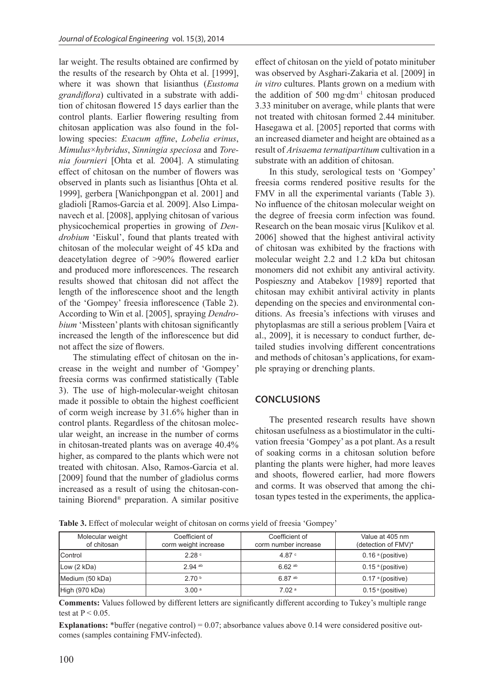lar weight. The results obtained are confirmed by the results of the research by Ohta et al. [1999], where it was shown that lisianthus (*Eustoma grandiflora*) cultivated in a substrate with addition of chitosan flowered 15 days earlier than the control plants. Earlier flowering resulting from chitosan application was also found in the following species: *Exacum affine*, *Lobelia erinus*, *Mimulus*×*hybridus*, *Sinningia speciosa* and *Torenia fournieri* [Ohta et al*.* 2004]. A stimulating effect of chitosan on the number of flowers was observed in plants such as lisianthus [Ohta et al*.* 1999], gerbera [Wanichpongpan et al. 2001] and gladioli [Ramos-Garcia et al*.* 2009]. Also Limpanavech et al. [2008], applying chitosan of various physicochemical properties in growing of *Dendrobium* 'Eiskul', found that plants treated with chitosan of the molecular weight of 45 kDa and deacetylation degree of >90% flowered earlier and produced more inflorescences. The research results showed that chitosan did not affect the length of the inflorescence shoot and the length of the 'Gompey' freesia inflorescence (Table 2). According to Win et al. [2005], spraying *Dendrobium* 'Missteen' plants with chitosan significantly increased the length of the inflorescence but did not affect the size of flowers.

The stimulating effect of chitosan on the increase in the weight and number of 'Gompey' freesia corms was confirmed statistically (Table 3). The use of high-molecular-weight chitosan made it possible to obtain the highest coefficient of corm weigh increase by 31.6% higher than in control plants. Regardless of the chitosan molecular weight, an increase in the number of corms in chitosan-treated plants was on average 40.4% higher, as compared to the plants which were not treated with chitosan. Also, Ramos-Garcia et al. [2009] found that the number of gladiolus corms increased as a result of using the chitosan-containing Biorend® preparation. A similar positive

effect of chitosan on the yield of potato minituber was observed by Asghari-Zakaria et al. [2009] in *in vitro* cultures. Plants grown on a medium with the addition of 500 mg∙dm-1 chitosan produced 3.33 minituber on average, while plants that were not treated with chitosan formed 2.44 minituber. Hasegawa et al. [2005] reported that corms with an increased diameter and height are obtained as a result of *Arisaema ternatipartitum* cultivation in a substrate with an addition of chitosan.

In this study, serological tests on 'Gompey' freesia corms rendered positive results for the FMV in all the experimental variants (Table 3). No influence of the chitosan molecular weight on the degree of freesia corm infection was found. Research on the bean mosaic virus [Kulikov et al*.* 2006] showed that the highest antiviral activity of chitosan was exhibited by the fractions with molecular weight 2.2 and 1.2 kDa but chitosan monomers did not exhibit any antiviral activity. Pospieszny and Atabekov [1989] reported that chitosan may exhibit antiviral activity in plants depending on the species and environmental conditions. As freesia's infections with viruses and phytoplasmas are still a serious problem [Vaira et al., 2009], it is necessary to conduct further, detailed studies involving different concentrations and methods of chitosan's applications, for example spraying or drenching plants.

## **CONCLUSIONS**

The presented research results have shown chitosan usefulness as a biostimulator in the cultivation freesia 'Gompey' as a pot plant. As a result of soaking corms in a chitosan solution before planting the plants were higher, had more leaves and shoots, flowered earlier, had more flowers and corms. It was observed that among the chitosan types tested in the experiments, the applica-

| Table 3. Effect of molecular weight of chitosan on corms yield of freesia 'Gompey' |
|------------------------------------------------------------------------------------|
|------------------------------------------------------------------------------------|

| Molecular weight<br>of chitosan | Coefficient of<br>corm weight increase | Coefficient of<br>corm number increase | Value at 405 nm<br>(detection of FMV)* |
|---------------------------------|----------------------------------------|----------------------------------------|----------------------------------------|
| <b>Control</b>                  | 2.28 <sup>c</sup>                      | 4.87 $\degree$                         | $0.16$ <sup>a</sup> (positive)         |
| Low (2 kDa)                     | $2.94$ <sup>ab</sup>                   | $6.62^{ab}$                            | $0.15$ <sup>a</sup> (positive)         |
| Medium (50 kDa)                 | 2.70 <sup>b</sup>                      | $6.87$ <sup>ab</sup>                   | $0.17$ <sup>a</sup> (positive)         |
| High (970 kDa)                  | 3.00 <sup>a</sup>                      | 7.02 <sup>a</sup>                      | $0.15^{\circ}$ (positive)              |

**Comments:** Values followed by different letters are significantly different according to Tukey's multiple range test at  $P < 0.05$ .

**Explanations:** \*buffer (negative control) = 0.07; absorbance values above 0.14 were considered positive outcomes (samples containing FMV-infected).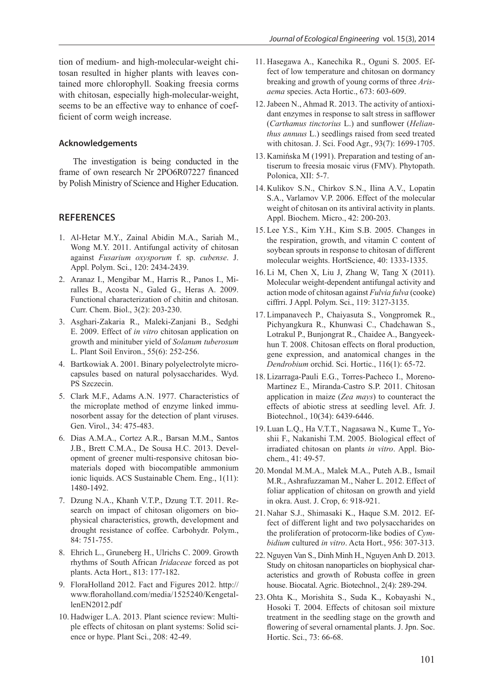tion of medium- and high-molecular-weight chitosan resulted in higher plants with leaves contained more chlorophyll. Soaking freesia corms with chitosan, especially high-molecular-weight, seems to be an effective way to enhance of coefficient of corm weigh increase.

#### **Acknowledgements**

The investigation is being conducted in the frame of own research Nr 2PO6R07227 financed by Polish Ministry of Science and Higher Education.

### **REFERENCES**

- 1. Al-Hetar M.Y., Zainal Abidin M.A., Sariah M., Wong M.Y. 2011. Antifungal activity of chitosan against *Fusarium oxysporum* f. sp. *cubense*. J. Appl. Polym. Sci., 120: 2434-2439.
- 2. Aranaz I., Mengibar M., Harris R., Panos I., Miralles B., Acosta N., Galed G., Heras A. 2009. Functional characterization of chitin and chitosan. Curr. Chem. Biol., 3(2): 203-230.
- 3. Asghari-Zakaria R., Maleki-Zanjani B., Sedghi E. 2009. Effect of *in vitro* chitosan application on growth and minituber yield of *Solanum tuberosum* L. Plant Soil Environ., 55(6): 252-256.
- 4. Bartkowiak A. 2001. Binary polyelectrolyte microcapsules based on natural polysaccharides. Wyd. PS Szczecin.
- 5. Clark M.F., Adams A.N. 1977. Characteristics of the microplate method of enzyme linked immunosorbent assay for the detection of plant viruses. Gen. Virol., 34: 475-483.
- 6. Dias A.M.A., Cortez A.R., Barsan M.M., Santos J.B., Brett C.M.A., De Sousa H.C. 2013. Development of greener multi-responsive chitosan biomaterials doped with biocompatible ammonium ionic liquids. ACS Sustainable Chem. Eng., 1(11): 1480-1492.
- 7. Dzung N.A., Khanh V.T.P., Dzung T.T. 2011. Research on impact of chitosan oligomers on biophysical characteristics, growth, development and drought resistance of coffee. Carbohydr. Polym., 84: 751-755.
- 8. Ehrich L., Gruneberg H., Ulrichs C. 2009. Growth rhythms of South African *Iridaceae* forced as pot plants. Acta Hort., 813: 177-182.
- 9. FloraHolland 2012. Fact and Figures 2012. http:// www.floraholland.com/media/1525240/KengetallenEN2012.pdf
- 10. Hadwiger L.A. 2013. Plant science review: Multiple effects of chitosan on plant systems: Solid science or hype. Plant Sci., 208: 42-49.
- 11. Hasegawa A., Kanechika R., Oguni S. 2005. Effect of low temperature and chitosan on dormancy breaking and growth of young corms of three *Arisaema* species. Acta Hortic., 673: 603-609.
- 12.Jabeen N., Ahmad R. 2013. The activity of antioxidant enzymes in response to salt stress in safflower (*Carthamus tinctorius* L.) and sunflower (*Helianthus annuus* L.) seedlings raised from seed treated with chitosan. J. Sci. Food Agr., 93(7): 1699-1705.
- 13. Kamińska M (1991). Preparation and testing of antiserum to freesia mosaic virus (FMV). Phytopath. Polonica, XII: 5-7.
- 14. Kulikov S.N., Chirkov S.N., Ilina A.V., Lopatin S.A., Varlamov V.P. 2006. Effect of the molecular weight of chitosan on its antiviral activity in plants. Appl. Biochem. Micro., 42: 200-203.
- 15. Lee Y.S., Kim Y.H., Kim S.B. 2005. Changes in the respiration, growth, and vitamin C content of soybean sprouts in response to chitosan of different molecular weights. HortScience, 40: 1333-1335.
- 16. Li M, Chen X, Liu J, Zhang W, Tang X (2011). Molecular weight-dependent antifungal activity and action mode of chitosan against *Fulvia fulva* (cooke) ciffrri. J Appl. Polym. Sci., 119: 3127-3135.
- 17. Limpanavech P., Chaiyasuta S., Vongpromek R., Pichyangkura R., Khunwasi C., Chadchawan S., Lotrakul P., Bunjongrat R., Chaidee A., Bangyeekhun T. 2008. Chitosan effects on floral production, gene expression, and anatomical changes in the *Dendrobium* orchid. Sci. Hortic., 116(1): 65-72.
- 18. Lizarraga-Pauli E.G., Torres-Pacheco I., Moreno-Martinez E., Miranda-Castro S.P. 2011. Chitosan application in maize (*Zea mays*) to counteract the effects of abiotic stress at seedling level. Afr. J. Biotechnol., 10(34): 6439-6446.
- 19. Luan L.Q., Ha V.T.T., Nagasawa N., Kume T., Yoshii F., Nakanishi T.M. 2005. Biological effect of irradiated chitosan on plants *in vitro*. Appl. Biochem., 41: 49-57.
- 20. Mondal M.M.A., Malek M.A., Puteh A.B., Ismail M.R., Ashrafuzzaman M., Naher L. 2012. Effect of foliar application of chitosan on growth and yield in okra. Aust. J. Crop, 6: 918-921.
- 21. Nahar S.J., Shimasaki K., Haque S.M. 2012. Effect of different light and two polysaccharides on the proliferation of protocorm-like bodies of *Cymbidium* cultured *in vitro*. Acta Hort., 956: 307-313.
- 22. Nguyen Van S., Dinh Minh H., Nguyen Anh D. 2013. Study on chitosan nanoparticles on biophysical characteristics and growth of Robusta coffee in green house. Biocatal. Agric. Biotechnol., 2(4): 289-294.
- 23. Ohta K., Morishita S., Suda K., Kobayashi N., Hosoki T. 2004. Effects of chitosan soil mixture treatment in the seedling stage on the growth and flowering of several ornamental plants. J. Jpn. Soc. Hortic. Sci., 73: 66-68.